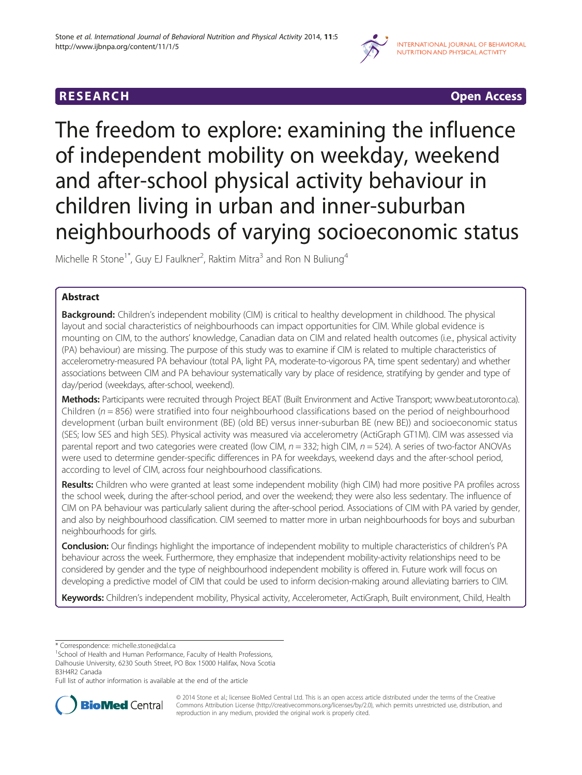

**RESEARCH CHINESEARCH CHINESEARCH** 

The freedom to explore: examining the influence of independent mobility on weekday, weekend and after-school physical activity behaviour in children living in urban and inner-suburban neighbourhoods of varying socioeconomic status

Michelle R Stone<sup>1\*</sup>, Guy EJ Faulkner<sup>2</sup>, Raktim Mitra<sup>3</sup> and Ron N Buliung<sup>4</sup>

# Abstract

**Background:** Children's independent mobility (CIM) is critical to healthy development in childhood. The physical layout and social characteristics of neighbourhoods can impact opportunities for CIM. While global evidence is mounting on CIM, to the authors' knowledge, Canadian data on CIM and related health outcomes (i.e., physical activity (PA) behaviour) are missing. The purpose of this study was to examine if CIM is related to multiple characteristics of accelerometry-measured PA behaviour (total PA, light PA, moderate-to-vigorous PA, time spent sedentary) and whether associations between CIM and PA behaviour systematically vary by place of residence, stratifying by gender and type of day/period (weekdays, after-school, weekend).

Methods: Participants were recruited through Project BEAT (Built Environment and Active Transport; [www.beat.utoronto.ca\)](http://www.beat.utoronto.ca). Children ( $n = 856$ ) were stratified into four neighbourhood classifications based on the period of neighbourhood development (urban built environment (BE) (old BE) versus inner-suburban BE (new BE)) and socioeconomic status (SES; low SES and high SES). Physical activity was measured via accelerometry (ActiGraph GT1M). CIM was assessed via parental report and two categories were created (low CIM,  $n = 332$ ; high CIM,  $n = 524$ ). A series of two-factor ANOVAs were used to determine gender-specific differences in PA for weekdays, weekend days and the after-school period, according to level of CIM, across four neighbourhood classifications.

Results: Children who were granted at least some independent mobility (high CIM) had more positive PA profiles across the school week, during the after-school period, and over the weekend; they were also less sedentary. The influence of CIM on PA behaviour was particularly salient during the after-school period. Associations of CIM with PA varied by gender, and also by neighbourhood classification. CIM seemed to matter more in urban neighbourhoods for boys and suburban neighbourhoods for girls.

**Conclusion:** Our findings highlight the importance of independent mobility to multiple characteristics of children's PA behaviour across the week. Furthermore, they emphasize that independent mobility-activity relationships need to be considered by gender and the type of neighbourhood independent mobility is offered in. Future work will focus on developing a predictive model of CIM that could be used to inform decision-making around alleviating barriers to CIM.

Keywords: Children's independent mobility, Physical activity, Accelerometer, ActiGraph, Built environment, Child, Health

Full list of author information is available at the end of the article



© 2014 Stone et al.; licensee BioMed Central Ltd. This is an open access article distributed under the terms of the Creative Commons Attribution License [\(http://creativecommons.org/licenses/by/2.0\)](http://creativecommons.org/licenses/by/2.0), which permits unrestricted use, distribution, and reproduction in any medium, provided the original work is properly cited.

<sup>\*</sup> Correspondence: [michelle.stone@dal.ca](mailto:michelle.stone@dal.ca) <sup>1</sup>

<sup>&</sup>lt;sup>1</sup>School of Health and Human Performance, Faculty of Health Professions, Dalhousie University, 6230 South Street, PO Box 15000 Halifax, Nova Scotia B3H4R2 Canada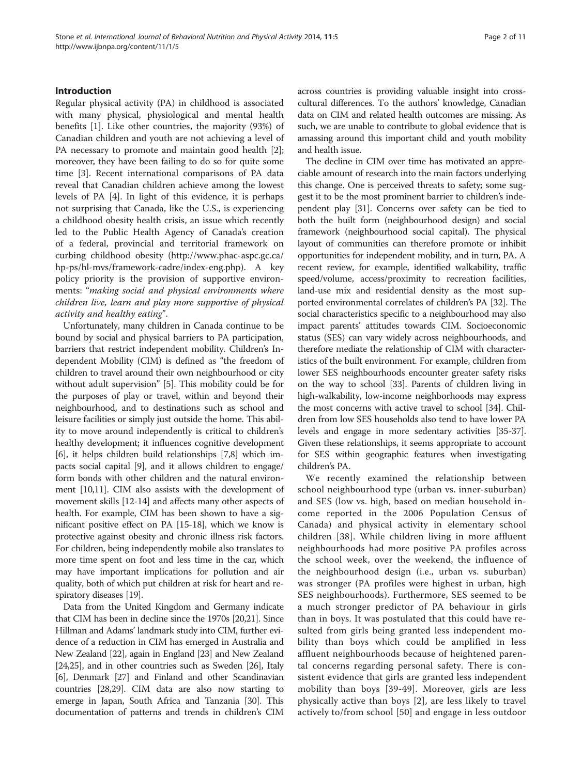## Introduction

Regular physical activity (PA) in childhood is associated with many physical, physiological and mental health benefits [[1\]](#page-8-0). Like other countries, the majority (93%) of Canadian children and youth are not achieving a level of PA necessary to promote and maintain good health [\[2](#page-8-0)]; moreover, they have been failing to do so for quite some time [[3\]](#page-8-0). Recent international comparisons of PA data reveal that Canadian children achieve among the lowest levels of PA [[4\]](#page-8-0). In light of this evidence, it is perhaps not surprising that Canada, like the U.S., is experiencing a childhood obesity health crisis, an issue which recently led to the Public Health Agency of Canada's creation of a federal, provincial and territorial framework on curbing childhood obesity [\(http://www.phac-aspc.gc.ca/](http://www.phac-aspc.gc.ca/hp-ps/hl-mvs/framework-cadre/index-eng.php) [hp-ps/hl-mvs/framework-cadre/index-eng.php](http://www.phac-aspc.gc.ca/hp-ps/hl-mvs/framework-cadre/index-eng.php)). A key policy priority is the provision of supportive environments: "making social and physical environments where children live, learn and play more supportive of physical activity and healthy eating".

Unfortunately, many children in Canada continue to be bound by social and physical barriers to PA participation, barriers that restrict independent mobility. Children's Independent Mobility (CIM) is defined as "the freedom of children to travel around their own neighbourhood or city without adult supervision" [\[5\]](#page-8-0). This mobility could be for the purposes of play or travel, within and beyond their neighbourhood, and to destinations such as school and leisure facilities or simply just outside the home. This ability to move around independently is critical to children's healthy development; it influences cognitive development [[6\]](#page-8-0), it helps children build relationships [\[7,8\]](#page-9-0) which impacts social capital [\[9](#page-9-0)], and it allows children to engage/ form bonds with other children and the natural environment [\[10,11](#page-9-0)]. CIM also assists with the development of movement skills [[12](#page-9-0)-[14](#page-9-0)] and affects many other aspects of health. For example, CIM has been shown to have a significant positive effect on PA [[15](#page-9-0)-[18](#page-9-0)], which we know is protective against obesity and chronic illness risk factors. For children, being independently mobile also translates to more time spent on foot and less time in the car, which may have important implications for pollution and air quality, both of which put children at risk for heart and respiratory diseases [[19](#page-9-0)].

Data from the United Kingdom and Germany indicate that CIM has been in decline since the 1970s [[20,21\]](#page-9-0). Since Hillman and Adams' landmark study into CIM, further evidence of a reduction in CIM has emerged in Australia and New Zealand [\[22\]](#page-9-0), again in England [\[23](#page-9-0)] and New Zealand [[24,25\]](#page-9-0), and in other countries such as Sweden [\[26\]](#page-9-0), Italy [[6](#page-8-0)], Denmark [\[27\]](#page-9-0) and Finland and other Scandinavian countries [[28,29\]](#page-9-0). CIM data are also now starting to emerge in Japan, South Africa and Tanzania [\[30\]](#page-9-0). This documentation of patterns and trends in children's CIM across countries is providing valuable insight into crosscultural differences. To the authors' knowledge, Canadian data on CIM and related health outcomes are missing. As such, we are unable to contribute to global evidence that is amassing around this important child and youth mobility and health issue.

The decline in CIM over time has motivated an appreciable amount of research into the main factors underlying this change. One is perceived threats to safety; some suggest it to be the most prominent barrier to children's independent play [\[31\]](#page-9-0). Concerns over safety can be tied to both the built form (neighbourhood design) and social framework (neighbourhood social capital). The physical layout of communities can therefore promote or inhibit opportunities for independent mobility, and in turn, PA. A recent review, for example, identified walkability, traffic speed/volume, access/proximity to recreation facilities, land-use mix and residential density as the most supported environmental correlates of children's PA [\[32\]](#page-9-0). The social characteristics specific to a neighbourhood may also impact parents' attitudes towards CIM. Socioeconomic status (SES) can vary widely across neighbourhoods, and therefore mediate the relationship of CIM with characteristics of the built environment. For example, children from lower SES neighbourhoods encounter greater safety risks on the way to school [[33\]](#page-9-0). Parents of children living in high-walkability, low-income neighborhoods may express the most concerns with active travel to school [\[34\]](#page-9-0). Children from low SES households also tend to have lower PA levels and engage in more sedentary activities [[35](#page-9-0)-[37](#page-9-0)]. Given these relationships, it seems appropriate to account for SES within geographic features when investigating children's PA.

We recently examined the relationship between school neighbourhood type (urban vs. inner-suburban) and SES (low vs. high, based on median household income reported in the 2006 Population Census of Canada) and physical activity in elementary school children [[38](#page-9-0)]. While children living in more affluent neighbourhoods had more positive PA profiles across the school week, over the weekend, the influence of the neighbourhood design (i.e., urban vs. suburban) was stronger (PA profiles were highest in urban, high SES neighbourhoods). Furthermore, SES seemed to be a much stronger predictor of PA behaviour in girls than in boys. It was postulated that this could have resulted from girls being granted less independent mobility than boys which could be amplified in less affluent neighbourhoods because of heightened parental concerns regarding personal safety. There is consistent evidence that girls are granted less independent mobility than boys [[39-49\]](#page-9-0). Moreover, girls are less physically active than boys [[2\]](#page-8-0), are less likely to travel actively to/from school [[50](#page-9-0)] and engage in less outdoor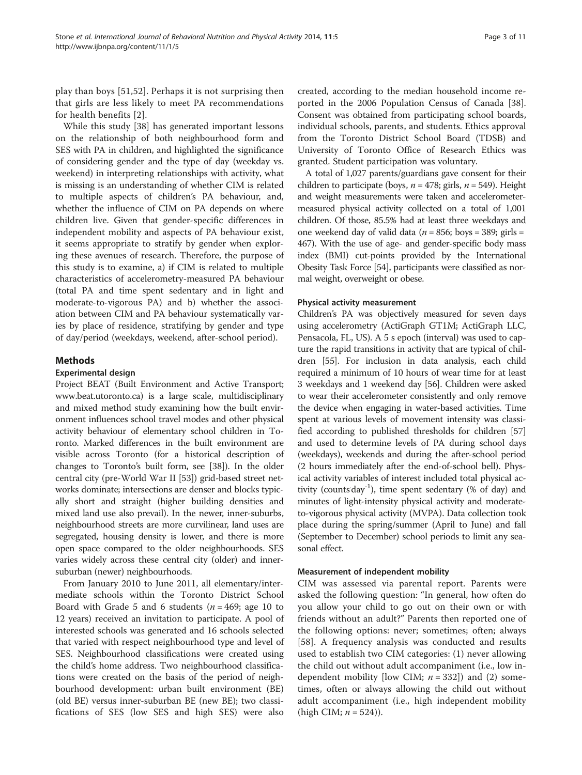play than boys [[51,52](#page-9-0)]. Perhaps it is not surprising then that girls are less likely to meet PA recommendations for health benefits [[2\]](#page-8-0).

While this study [\[38\]](#page-9-0) has generated important lessons on the relationship of both neighbourhood form and SES with PA in children, and highlighted the significance of considering gender and the type of day (weekday vs. weekend) in interpreting relationships with activity, what is missing is an understanding of whether CIM is related to multiple aspects of children's PA behaviour, and, whether the influence of CIM on PA depends on where children live. Given that gender-specific differences in independent mobility and aspects of PA behaviour exist, it seems appropriate to stratify by gender when exploring these avenues of research. Therefore, the purpose of this study is to examine, a) if CIM is related to multiple characteristics of accelerometry-measured PA behaviour (total PA and time spent sedentary and in light and moderate-to-vigorous PA) and b) whether the association between CIM and PA behaviour systematically varies by place of residence, stratifying by gender and type of day/period (weekdays, weekend, after-school period).

## Methods

## Experimental design

Project BEAT (Built Environment and Active Transport; [www.beat.utoronto.ca\)](http://www.beat.utoronto.ca) is a large scale, multidisciplinary and mixed method study examining how the built environment influences school travel modes and other physical activity behaviour of elementary school children in Toronto. Marked differences in the built environment are visible across Toronto (for a historical description of changes to Toronto's built form, see [\[38\]](#page-9-0)). In the older central city (pre-World War II [[53\]](#page-9-0)) grid-based street networks dominate; intersections are denser and blocks typically short and straight (higher building densities and mixed land use also prevail). In the newer, inner-suburbs, neighbourhood streets are more curvilinear, land uses are segregated, housing density is lower, and there is more open space compared to the older neighbourhoods. SES varies widely across these central city (older) and innersuburban (newer) neighbourhoods.

From January 2010 to June 2011, all elementary/intermediate schools within the Toronto District School Board with Grade 5 and 6 students ( $n = 469$ ; age 10 to 12 years) received an invitation to participate. A pool of interested schools was generated and 16 schools selected that varied with respect neighbourhood type and level of SES. Neighbourhood classifications were created using the child's home address. Two neighbourhood classifications were created on the basis of the period of neighbourhood development: urban built environment (BE) (old BE) versus inner-suburban BE (new BE); two classifications of SES (low SES and high SES) were also

created, according to the median household income reported in the 2006 Population Census of Canada [\[38](#page-9-0)]. Consent was obtained from participating school boards, individual schools, parents, and students. Ethics approval from the Toronto District School Board (TDSB) and University of Toronto Office of Research Ethics was granted. Student participation was voluntary.

A total of 1,027 parents/guardians gave consent for their children to participate (boys,  $n = 478$ ; girls,  $n = 549$ ). Height and weight measurements were taken and accelerometermeasured physical activity collected on a total of 1,001 children. Of those, 85.5% had at least three weekdays and one weekend day of valid data ( $n = 856$ ; boys = 389; girls = 467). With the use of age- and gender-specific body mass index (BMI) cut-points provided by the International Obesity Task Force [[54](#page-9-0)], participants were classified as normal weight, overweight or obese.

#### Physical activity measurement

Children's PA was objectively measured for seven days using accelerometry (ActiGraph GT1M; ActiGraph LLC, Pensacola, FL, US). A 5 s epoch (interval) was used to capture the rapid transitions in activity that are typical of children [[55](#page-9-0)]. For inclusion in data analysis, each child required a minimum of 10 hours of wear time for at least 3 weekdays and 1 weekend day [[56](#page-10-0)]. Children were asked to wear their accelerometer consistently and only remove the device when engaging in water-based activities. Time spent at various levels of movement intensity was classified according to published thresholds for children [[57](#page-10-0)] and used to determine levels of PA during school days (weekdays), weekends and during the after-school period (2 hours immediately after the end-of-school bell). Physical activity variables of interest included total physical activity (counts day<sup>-1</sup>), time spent sedentary (% of day) and minutes of light-intensity physical activity and moderateto-vigorous physical activity (MVPA). Data collection took place during the spring/summer (April to June) and fall (September to December) school periods to limit any seasonal effect.

## Measurement of independent mobility

CIM was assessed via parental report. Parents were asked the following question: "In general, how often do you allow your child to go out on their own or with friends without an adult?" Parents then reported one of the following options: never; sometimes; often; always [[58\]](#page-10-0). A frequency analysis was conducted and results used to establish two CIM categories: (1) never allowing the child out without adult accompaniment (i.e., low independent mobility [low CIM;  $n = 332$ ]) and (2) sometimes, often or always allowing the child out without adult accompaniment (i.e., high independent mobility (high CIM;  $n = 524$ )).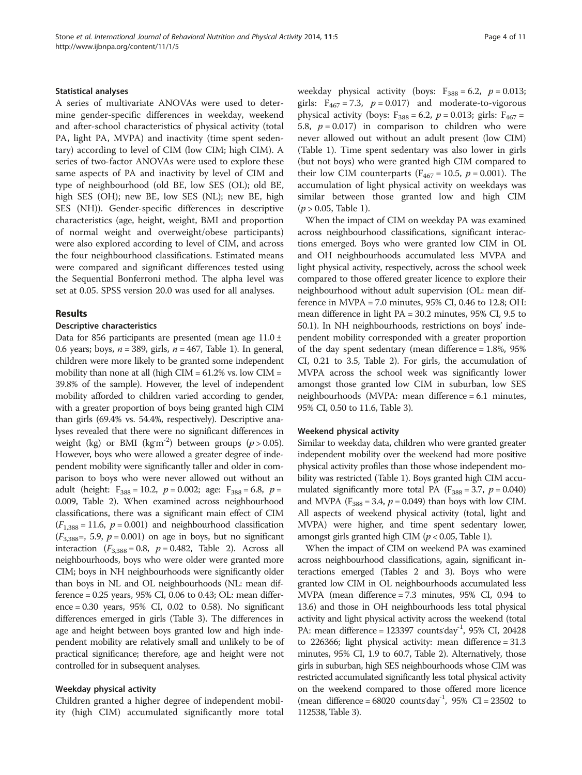#### Statistical analyses

A series of multivariate ANOVAs were used to determine gender-specific differences in weekday, weekend and after-school characteristics of physical activity (total PA, light PA, MVPA) and inactivity (time spent sedentary) according to level of CIM (low CIM; high CIM). A series of two-factor ANOVAs were used to explore these same aspects of PA and inactivity by level of CIM and type of neighbourhood (old BE, low SES (OL); old BE, high SES (OH); new BE, low SES (NL); new BE, high SES (NH)). Gender-specific differences in descriptive characteristics (age, height, weight, BMI and proportion of normal weight and overweight/obese participants) were also explored according to level of CIM, and across the four neighbourhood classifications. Estimated means were compared and significant differences tested using the Sequential Bonferroni method. The alpha level was set at 0.05. SPSS version 20.0 was used for all analyses.

## Results

## Descriptive characteristics

Data for 856 participants are presented (mean age  $11.0 \pm 1$ 0.6 years; boys,  $n = 389$ , girls,  $n = 467$ , Table [1\)](#page-4-0). In general, children were more likely to be granted some independent mobility than none at all (high CIM = 61.2% vs. low CIM = 39.8% of the sample). However, the level of independent mobility afforded to children varied according to gender, with a greater proportion of boys being granted high CIM than girls (69.4% vs. 54.4%, respectively). Descriptive analyses revealed that there were no significant differences in weight (kg) or BMI (kgm<sup>-2</sup>) between groups ( $p > 0.05$ ). However, boys who were allowed a greater degree of independent mobility were significantly taller and older in comparison to boys who were never allowed out without an adult (height:  $F_{388} = 10.2$ ,  $p = 0.002$ ; age:  $F_{388} = 6.8$ ,  $p =$ 0.009, Table [2](#page-5-0)). When examined across neighbourhood classifications, there was a significant main effect of CIM  $(F_{1,388} = 11.6, p = 0.001)$  and neighbourhood classification  $(F<sub>3,388</sub>=, 5.9, p = 0.001)$  on age in boys, but no significant interaction  $(F_{3,388} = 0.8, p = 0.482,$  Table [2](#page-5-0)). Across all neighbourhoods, boys who were older were granted more CIM; boys in NH neighbourhoods were significantly older than boys in NL and OL neighbourhoods (NL: mean difference = 0.25 years, 95% CI, 0.06 to 0.43; OL: mean difference = 0.30 years, 95% CI, 0.02 to 0.58). No significant differences emerged in girls (Table [3](#page-6-0)). The differences in age and height between boys granted low and high independent mobility are relatively small and unlikely to be of practical significance; therefore, age and height were not controlled for in subsequent analyses.

#### Weekday physical activity

Children granted a higher degree of independent mobility (high CIM) accumulated significantly more total weekday physical activity (boys:  $F_{388} = 6.2$ ,  $p = 0.013$ ; girls:  $F_{467} = 7.3$ ,  $p = 0.017$ ) and moderate-to-vigorous physical activity (boys:  $F_{388} = 6.2$ ,  $p = 0.013$ ; girls:  $F_{467} =$ 5.8,  $p = 0.017$ ) in comparison to children who were never allowed out without an adult present (low CIM) (Table [1](#page-4-0)). Time spent sedentary was also lower in girls (but not boys) who were granted high CIM compared to their low CIM counterparts ( $F_{467} = 10.5$ ,  $p = 0.001$ ). The accumulation of light physical activity on weekdays was similar between those granted low and high CIM  $(p > 0.05,$  Table [1\)](#page-4-0).

When the impact of CIM on weekday PA was examined across neighbourhood classifications, significant interactions emerged. Boys who were granted low CIM in OL and OH neighbourhoods accumulated less MVPA and light physical activity, respectively, across the school week compared to those offered greater licence to explore their neighbourhood without adult supervision (OL: mean difference in MVPA = 7.0 minutes, 95% CI, 0.46 to 12.8; OH: mean difference in light PA = 30.2 minutes, 95% CI, 9.5 to 50.1). In NH neighbourhoods, restrictions on boys' independent mobility corresponded with a greater proportion of the day spent sedentary (mean difference = 1.8%, 95% CI, 0.21 to 3.5, Table [2](#page-5-0)). For girls, the accumulation of MVPA across the school week was significantly lower amongst those granted low CIM in suburban, low SES neighbourhoods (MVPA: mean difference = 6.1 minutes, 95% CI, 0.50 to 11.6, Table [3\)](#page-6-0).

#### Weekend physical activity

Similar to weekday data, children who were granted greater independent mobility over the weekend had more positive physical activity profiles than those whose independent mobility was restricted (Table [1\)](#page-4-0). Boys granted high CIM accumulated significantly more total PA ( $F_{388} = 3.7$ ,  $p = 0.040$ ) and MVPA ( $F_{388} = 3.4$ ,  $p = 0.049$ ) than boys with low CIM. All aspects of weekend physical activity (total, light and MVPA) were higher, and time spent sedentary lower, amongst girls granted high CIM ( $p < 0.05$ , Table [1\)](#page-4-0).

When the impact of CIM on weekend PA was examined across neighbourhood classifications, again, significant interactions emerged (Tables [2](#page-5-0) and [3](#page-6-0)). Boys who were granted low CIM in OL neighbourhoods accumulated less MVPA (mean difference = 7.3 minutes, 95% CI, 0.94 to 13.6) and those in OH neighbourhoods less total physical activity and light physical activity across the weekend (total PA: mean difference = 123397 counts day<sup>-1</sup>, 95% CI, 20428 to 226366; light physical activity: mean difference = 31.3 minutes, 95% CI, 1.9 to 60.7, Table [2\)](#page-5-0). Alternatively, those girls in suburban, high SES neighbourhoods whose CIM was restricted accumulated significantly less total physical activity on the weekend compared to those offered more licence (mean difference =  $68020$  counts day<sup>-1</sup>,  $95\%$  CI = 23502 to 112538, Table [3\)](#page-6-0).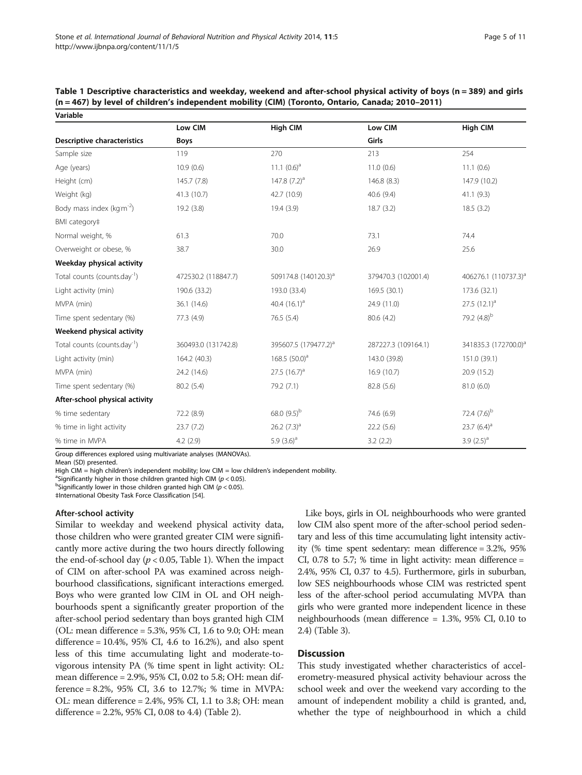| Variable                                 |                     |                                  |                     |                                  |
|------------------------------------------|---------------------|----------------------------------|---------------------|----------------------------------|
|                                          | Low CIM             | <b>High CIM</b>                  | Low CIM             | <b>High CIM</b>                  |
| <b>Descriptive characteristics</b>       | <b>Boys</b>         |                                  | Girls               |                                  |
| Sample size                              | 119                 | 270                              | 213                 | 254                              |
| Age (years)                              | 10.9(0.6)           | 11.1 $(0.6)^a$                   | 11.0(0.6)           | 11.1(0.6)                        |
| Height (cm)                              | 145.7 (7.8)         | 147.8 $(7.2)^a$                  | 146.8 (8.3)         | 147.9 (10.2)                     |
| Weight (kg)                              | 41.3 (10.7)         | 42.7 (10.9)                      | 40.6 (9.4)          | 41.1(9.3)                        |
| Body mass index ( $kgm^{-2}$ )           | 19.2(3.8)           | 19.4 (3.9)                       | 18.7(3.2)           | 18.5(3.2)                        |
| BMI category‡                            |                     |                                  |                     |                                  |
| Normal weight, %                         | 61.3                | 70.0                             | 73.1                | 74.4                             |
| Overweight or obese, %                   | 38.7                | 30.0                             | 26.9                | 25.6                             |
| Weekday physical activity                |                     |                                  |                     |                                  |
| Total counts (counts.day <sup>-1</sup> ) | 472530.2 (118847.7) | 509174.8 (140120.3) <sup>a</sup> | 379470.3 (102001.4) | 406276.1 (110737.3) <sup>a</sup> |
| Light activity (min)                     | 190.6 (33.2)        | 193.0 (33.4)                     | 169.5 (30.1)        | 173.6 (32.1)                     |
| MVPA (min)                               | 36.1 (14.6)         | 40.4 $(16.1)^a$                  | 24.9 (11.0)         | 27.5 $(12.1)^a$                  |
| Time spent sedentary (%)                 | 77.3 (4.9)          | 76.5 (5.4)                       | 80.6 (4.2)          | 79.2 (4.8) <sup>b</sup>          |
| Weekend physical activity                |                     |                                  |                     |                                  |
| Total counts (counts.day <sup>-1</sup> ) | 360493.0 (131742.8) | 395607.5 (179477.2) <sup>a</sup> | 287227.3 (109164.1) | 341835.3 (172700.0) <sup>a</sup> |
| Light activity (min)                     | 164.2 (40.3)        | 168.5 $(50.0)^a$                 | 143.0 (39.8)        | 151.0 (39.1)                     |
| MVPA (min)                               | 24.2 (14.6)         | $27.5$ $(16.7)^a$                | 16.9 (10.7)         | 20.9 (15.2)                      |
| Time spent sedentary (%)                 | 80.2 (5.4)          | 79.2 (7.1)                       | 82.8 (5.6)          | 81.0(6.0)                        |
| After-school physical activity           |                     |                                  |                     |                                  |
| % time sedentary                         | 72.2 (8.9)          | 68.0 (9.5) <sup>b</sup>          | 74.6 (6.9)          | 72.4 $(7.6)^{b}$                 |
| % time in light activity                 | 23.7(7.2)           | 26.2 $(7.3)^a$                   | 22.2(5.6)           | 23.7 $(6.4)^a$                   |
| % time in MVPA                           | 4.2(2.9)            | 5.9 $(3.6)^a$                    | 3.2(2.2)            | 3.9 $(2.5)^a$                    |

<span id="page-4-0"></span>Table 1 Descriptive characteristics and weekday, weekend and after-school physical activity of boys (n = 389) and girls (n = 467) by level of children's independent mobility (CIM) (Toronto, Ontario, Canada; 2010–2011)

Group differences explored using multivariate analyses (MANOVAs).

Mean (SD) presented.

High CIM = high children's independent mobility; low CIM = low children's independent mobility.

<sup>a</sup>Significantly higher in those children granted high CIM ( $p < 0.05$ ).

bSignificantly lower in those children granted high CIM ( $p < 0.05$ ).

‡International Obesity Task Force Classification [[54](#page-9-0)].

#### After-school activity

Similar to weekday and weekend physical activity data, those children who were granted greater CIM were significantly more active during the two hours directly following the end-of-school day ( $p < 0.05$ , Table 1). When the impact of CIM on after-school PA was examined across neighbourhood classifications, significant interactions emerged. Boys who were granted low CIM in OL and OH neighbourhoods spent a significantly greater proportion of the after-school period sedentary than boys granted high CIM (OL: mean difference = 5.3%, 95% CI, 1.6 to 9.0; OH: mean difference =  $10.4\%$ ,  $95\%$  CI,  $4.6$  to  $16.2\%$ ), and also spent less of this time accumulating light and moderate-tovigorous intensity PA (% time spent in light activity: OL: mean difference = 2.9%, 95% CI, 0.02 to 5.8; OH: mean difference = 8.2%, 95% CI, 3.6 to 12.7%; % time in MVPA: OL: mean difference = 2.4%, 95% CI, 1.1 to 3.8; OH: mean difference = 2.2%, 95% CI, 0.08 to 4.4) (Table [2](#page-5-0)).

Like boys, girls in OL neighbourhoods who were granted low CIM also spent more of the after-school period sedentary and less of this time accumulating light intensity activity (% time spent sedentary: mean difference = 3.2%, 95% CI, 0.78 to 5.7; % time in light activity: mean difference = 2.4%, 95% CI, 0.37 to 4.5). Furthermore, girls in suburban, low SES neighbourhoods whose CIM was restricted spent less of the after-school period accumulating MVPA than girls who were granted more independent licence in these neighbourhoods (mean difference = 1.3%, 95% CI, 0.10 to 2.4) (Table [3](#page-6-0)).

## **Discussion**

This study investigated whether characteristics of accelerometry-measured physical activity behaviour across the school week and over the weekend vary according to the amount of independent mobility a child is granted, and, whether the type of neighbourhood in which a child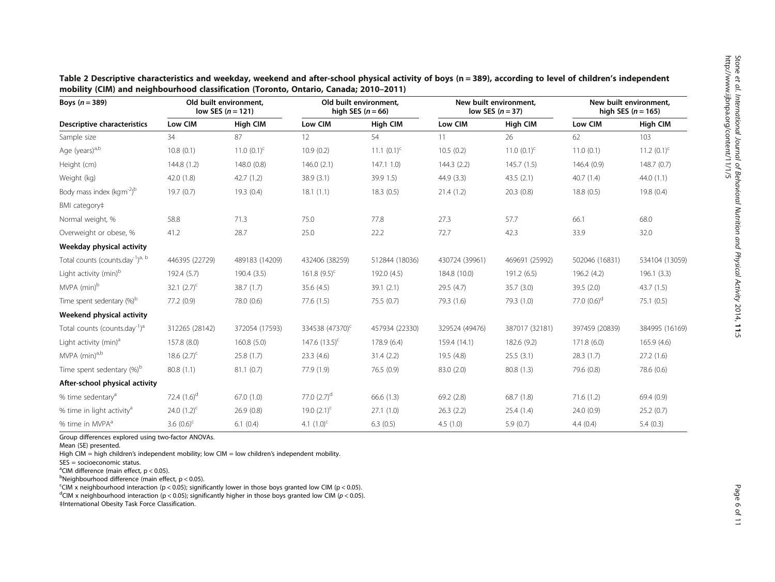| Boys $(n=389)$                                           | Old built environment,<br>low SES $(n = 121)$ |                | Old built environment.<br>high SES $(n = 66)$ |                  | New built environment.<br>low SES $(n=37)$ |                 | New built environment.<br>high SES $(n = 165)$ |                  |
|----------------------------------------------------------|-----------------------------------------------|----------------|-----------------------------------------------|------------------|--------------------------------------------|-----------------|------------------------------------------------|------------------|
| Descriptive characteristics                              | Low CIM                                       | High CIM       | Low CIM                                       | <b>High CIM</b>  | Low CIM                                    | <b>High CIM</b> | Low CIM                                        | <b>High CIM</b>  |
| Sample size                                              | 34                                            | 87             | 12                                            | 54               | 11                                         | 26              | 62                                             | 103              |
| Age (years) <sup>a,b</sup>                               | 10.8(0.1)                                     | 11.0 $(0.1)^c$ | 10.9(0.2)                                     | 11.1 $(0.1)^{c}$ | 10.5(0.2)                                  | 11.0 $(0.1)^c$  | 11.0(0.1)                                      | 11.2 $(0.1)^{c}$ |
| Height (cm)                                              | 144.8 (1.2)                                   | 148.0 (0.8)    | 146.0(2.1)                                    | 147.11.0         | 144.3(2.2)                                 | 145.7(1.5)      | 146.4(0.9)                                     | 148.7(0.7)       |
| Weight (kg)                                              | 42.0(1.8)                                     | 42.7(1.2)      | 38.9(3.1)                                     | 39.91.5          | 44.9(3.3)                                  | 43.5(2.1)       | 40.7(1.4)                                      | 44.0(1.1)        |
| Body mass index (kgm <sup>-2)b</sup>                     | 19.7(0.7)                                     | 19.3(0.4)      | 18.1(1.1)                                     | 18.3(0.5)        | 21.4(1.2)                                  | 20.3(0.8)       | 18.8(0.5)                                      | 19.8(0.4)        |
| BMI category#                                            |                                               |                |                                               |                  |                                            |                 |                                                |                  |
| Normal weight, %                                         | 58.8                                          | 71.3           | 75.0                                          | 77.8             | 27.3                                       | 57.7            | 66.1                                           | 68.0             |
| Overweight or obese, %                                   | 41.2                                          | 28.7           | 25.0                                          | 22.2             | 72.7                                       | 42.3            | 33.9                                           | 32.0             |
| Weekday physical activity                                |                                               |                |                                               |                  |                                            |                 |                                                |                  |
| Total counts (counts.day <sup>-1</sup> ) <sup>a, b</sup> | 446395 (22729)                                | 489183 (14209) | 432406 (38259)                                | 512844 (18036)   | 430724 (39961)                             | 469691 (25992)  | 502046 (16831)                                 | 534104 (13059)   |
| Light activity (min) <sup>b</sup>                        | 192.4 (5.7)                                   | 190.4(3.5)     | $161.8(9.5)^{c}$                              | 192.0 (4.5)      | 184.8 (10.0)                               | 191.2 (6.5)     | 196.2 (4.2)                                    | 196.1(3.3)       |
| MVPA (min) <sup>b</sup>                                  | 32.1 $(2.7)^c$                                | 38.7(1.7)      | 35.6(4.5)                                     | 39.1(2.1)        | 29.5(4.7)                                  | 35.7(3.0)       | 39.5(2.0)                                      | 43.7(1.5)        |
| Time spent sedentary (%) <sup>b</sup>                    | 77.2 (0.9)                                    | 78.0 (0.6)     | 77.6(1.5)                                     | 75.5 (0.7)       | 79.3 (1.6)                                 | 79.3 (1.0)      | 77.0 $(0.6)^d$                                 | 75.1(0.5)        |
| Weekend physical activity                                |                                               |                |                                               |                  |                                            |                 |                                                |                  |
| Total counts (counts.day <sup>-1</sup> ) <sup>a</sup>    | 312265 (28142)                                | 372054 (17593) | 334538 (47370) <sup>c</sup>                   | 457934 (22330)   | 329524 (49476)                             | 387017 (32181)  | 397459 (20839)                                 | 384995 (16169)   |
| Light activity (min) <sup>a</sup>                        | 157.8 (8.0)                                   | 160.8(5.0)     | 147.6 $(13.5)^{c}$                            | 178.9 (6.4)      | 159.4 (14.1)                               | 182.6 (9.2)     | 171.8(6.0)                                     | 165.9 (4.6)      |
| MVPA (min) <sup>a,b</sup>                                | 18.6 $(2.7)^c$                                | 25.8(1.7)      | 23.3(4.6)                                     | 31.4(2.2)        | 19.5(4.8)                                  | 25.5(3.1)       | 28.3(1.7)                                      | 27.2(1.6)        |
| Time spent sedentary $(\%)^b$                            | 80.8 (1.1)                                    | 81.1(0.7)      | 77.9 (1.9)                                    | 76.5(0.9)        | 83.0 (2.0)                                 | 80.8 (1.3)      | 79.6 (0.8)                                     | 78.6 (0.6)       |
| After-school physical activity                           |                                               |                |                                               |                  |                                            |                 |                                                |                  |
| % time sedentary <sup>a</sup>                            | 72.4 $(1.6)^d$                                | 67.0(1.0)      | 77.0 $(2.7)^d$                                | 66.6(1.3)        | 69.2 (2.8)                                 | 68.7 (1.8)      | 71.6(1.2)                                      | 69.4(0.9)        |
| % time in light activity <sup>a</sup>                    | 24.0 $(1.2)^{c}$                              | 26.9(0.8)      | 19.0 $(2.1)^c$                                | 27.1(1.0)        | 26.3(2.2)                                  | 25.4(1.4)       | 24.0 (0.9)                                     | 25.2(0.7)        |
| % time in MVPA <sup>a</sup>                              | 3.6 $(0.6)^c$                                 | 6.1(0.4)       | 4.1 $(1.0)^{c}$                               | 6.3(0.5)         | 4.5(1.0)                                   | 5.9(0.7)        | 4.4(0.4)                                       | 5.4(0.3)         |

<span id="page-5-0"></span>Table 2 Descriptive characteristics and weekday, weekend and after-school physical activity of boys (n = 389), according to level of children's independent mobility (CIM) and neighbourhood classification (Toronto, Ontario, Canada; 2010–2011)

Group differences explored using two-factor ANOVAs.

Mean (SE) presented.

High CIM = high children's independent mobility; low CIM = low children's independent mobility.

SES = socioeconomic status.

 $\mathrm{^{a}C}$ IM difference (main effect,  $p < 0.05$ ).

<sup>b</sup>Neighbourhood difference (main effect, p < 0.05).

<sup>c</sup>CIM x neighbourhood interaction (p < 0.05); significantly lower in those boys granted low CIM (p < 0.05).

<sup>d</sup>CIM x neighbourhood interaction (p < 0.05); significantly higher in those boys granted low CIM (p < 0.05). ‡International Obesity Task Force Classification.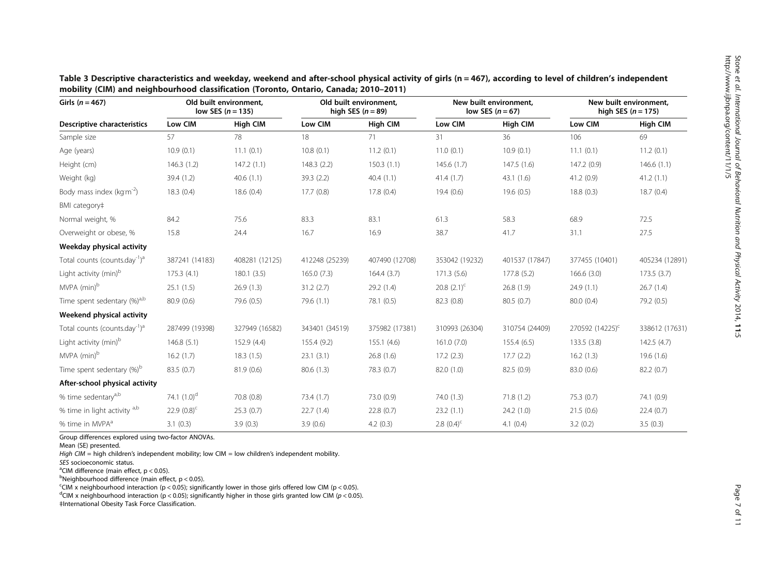| Girls ( $n = 467$ )                                   | Old built environment,<br>low SES $(n = 135)$ |                 | Old built environment,<br>high SES $(n = 89)$ |                 | New built environment,<br>low SES $(n=67)$ |                 | New built environment.<br>high SES $(n = 175)$ |                 |
|-------------------------------------------------------|-----------------------------------------------|-----------------|-----------------------------------------------|-----------------|--------------------------------------------|-----------------|------------------------------------------------|-----------------|
| Descriptive characteristics                           | Low CIM                                       | <b>High CIM</b> | Low CIM                                       | <b>High CIM</b> | Low CIM                                    | <b>High CIM</b> | Low CIM                                        | <b>High CIM</b> |
| Sample size                                           | 57                                            | 78              | 18                                            | 71              | 31                                         | 36              | 106                                            | 69              |
| Age (years)                                           | 10.9(0.1)                                     | 11.1(0.1)       | 10.8(0.1)                                     | 11.2(0.1)       | 11.0(0.1)                                  | 10.9(0.1)       | 11.1(0.1)                                      | 11.2(0.1)       |
| Height (cm)                                           | 146.3(1.2)                                    | 147.2(1.1)      | 148.3 (2.2)                                   | 150.3(1.1)      | 145.6(1.7)                                 | 147.5(1.6)      | 147.2(0.9)                                     | 146.6(1.1)      |
| Weight (kg)                                           | 39.4 (1.2)                                    | 40.6(1.1)       | 39.3(2.2)                                     | 40.4(1.1)       | 41.4(1.7)                                  | 43.1(1.6)       | 41.2(0.9)                                      | 41.2(1.1)       |
| Body mass index ( $kg m-2$ )                          | 18.3(0.4)                                     | 18.6(0.4)       | 17.7(0.8)                                     | 17.8(0.4)       | 19.4(0.6)                                  | 19.6(0.5)       | 18.8(0.3)                                      | 18.7(0.4)       |
| BMI category‡                                         |                                               |                 |                                               |                 |                                            |                 |                                                |                 |
| Normal weight, %                                      | 84.2                                          | 75.6            | 83.3                                          | 83.1            | 61.3                                       | 58.3            | 68.9                                           | 72.5            |
| Overweight or obese, %                                | 15.8                                          | 24.4            | 16.7                                          | 16.9            | 38.7                                       | 41.7            | 31.1                                           | 27.5            |
| Weekday physical activity                             |                                               |                 |                                               |                 |                                            |                 |                                                |                 |
| Total counts (counts.day <sup>-1</sup> ) <sup>a</sup> | 387241 (14183)                                | 408281 (12125)  | 412248 (25239)                                | 407490 (12708)  | 353042 (19232)                             | 401537 (17847)  | 377455 (10401)                                 | 405234 (12891)  |
| Light activity (min) <sup>b</sup>                     | 175.3(4.1)                                    | 180.1(3.5)      | 165.0(7.3)                                    | 164.4(3.7)      | 171.3(5.6)                                 | 177.8 (5.2)     | 166.6(3.0)                                     | 173.5(3.7)      |
| MVPA (min) <sup>b</sup>                               | 25.1(1.5)                                     | 26.9(1.3)       | 31.2(2.7)                                     | 29.2(1.4)       | 20.8 $(2.1)^c$                             | 26.8(1.9)       | 24.9(1.1)                                      | 26.7(1.4)       |
| Time spent sedentary (%) <sup>a,b</sup>               | 80.9 (0.6)                                    | 79.6 (0.5)      | 79.6(1.1)                                     | 78.1 (0.5)      | 82.3 (0.8)                                 | 80.5(0.7)       | 80.0 (0.4)                                     | 79.2 (0.5)      |
| Weekend physical activity                             |                                               |                 |                                               |                 |                                            |                 |                                                |                 |
| Total counts (counts.day <sup>-1</sup> ) <sup>a</sup> | 287499 (19398)                                | 327949 (16582)  | 343401 (34519)                                | 375982 (17381)  | 310993 (26304)                             | 310754 (24409)  | 270592 (14225) <sup>c</sup>                    | 338612 (17631)  |
| Light activity (min) <sup>b</sup>                     | 146.8(5.1)                                    | 152.9 (4.4)     | 155.4 (9.2)                                   | 155.1(4.6)      | 161.0(7.0)                                 | 155.4(6.5)      | 133.5 (3.8)                                    | 142.5(4.7)      |
| MVPA (min) <sup>b</sup>                               | 16.2(1.7)                                     | 18.3(1.5)       | 23.1(3.1)                                     | 26.8(1.6)       | 17.2(2.3)                                  | 17.7(2.2)       | 16.2(1.3)                                      | 19.6(1.6)       |
| Time spent sedentary (%) <sup>b</sup>                 | 83.5 (0.7)                                    | 81.9(0.6)       | 80.6(1.3)                                     | 78.3 (0.7)      | 82.0 (1.0)                                 | 82.5(0.9)       | 83.0 (0.6)                                     | 82.2(0.7)       |
| After-school physical activity                        |                                               |                 |                                               |                 |                                            |                 |                                                |                 |
| % time sedentary <sup>a,b</sup>                       | 74.1 $(1.0)^d$                                | 70.8 (0.8)      | 73.4(1.7)                                     | 73.0 (0.9)      | 74.0 (1.3)                                 | 71.8(1.2)       | 75.3 (0.7)                                     | 74.1 (0.9)      |
| % time in light activity a,b                          | 22.9 $(0.8)^c$                                | 25.3(0.7)       | 22.7(1.4)                                     | 22.8(0.7)       | 23.2(1.1)                                  | 24.2 (1.0)      | 21.5(0.6)                                      | 22.4(0.7)       |
| % time in MVPA <sup>a</sup>                           | 3.1(0.3)                                      | 3.9(0.3)        | 3.9(0.6)                                      | 4.2(0.3)        | 2.8 $(0.4)^{c}$                            | 4.1(0.4)        | 3.2(0.2)                                       | 3.5(0.3)        |

<span id="page-6-0"></span>Table 3 Descriptive characteristics and weekday, weekend and after-school physical activity of girls (n = 467), according to level of children's independent mobility (CIM) and neighbourhood classification (Toronto, Ontario, Canada; 2010–2011)

Group differences explored using two-factor ANOVAs.

Mean (SE) presented.

High CIM = high children's independent mobility; low CIM = low children's independent mobility.

SES socioeconomic status.

<sup>a</sup>CIM difference (main effect,  $p < 0.05$ ).

<sup>b</sup>Neighbourhood difference (main effect, p < 0.05).

<sup>c</sup>CIM x neighbourhood interaction (p < 0.05); significantly lower in those girls offered low CIM (p < 0.05).

<sup>d</sup>CIM x neighbourhood interaction (p < 0.05); significantly higher in those girls granted low CIM (p < 0.05). ‡International Obesity Task Force Classification.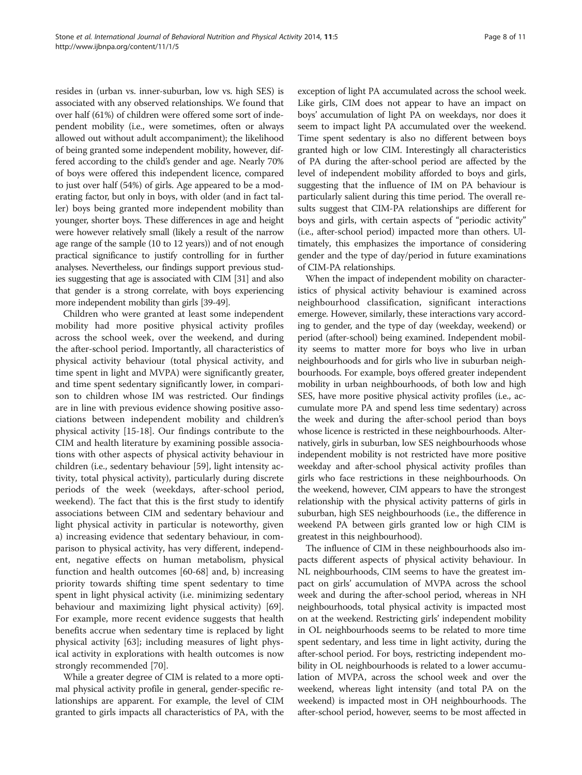resides in (urban vs. inner-suburban, low vs. high SES) is associated with any observed relationships. We found that over half (61%) of children were offered some sort of independent mobility (i.e., were sometimes, often or always allowed out without adult accompaniment); the likelihood of being granted some independent mobility, however, differed according to the child's gender and age. Nearly 70% of boys were offered this independent licence, compared to just over half (54%) of girls. Age appeared to be a moderating factor, but only in boys, with older (and in fact taller) boys being granted more independent mobility than younger, shorter boys. These differences in age and height were however relatively small (likely a result of the narrow age range of the sample (10 to 12 years)) and of not enough practical significance to justify controlling for in further analyses. Nevertheless, our findings support previous studies suggesting that age is associated with CIM [[31\]](#page-9-0) and also that gender is a strong correlate, with boys experiencing more independent mobility than girls [\[39-49\]](#page-9-0).

Children who were granted at least some independent mobility had more positive physical activity profiles across the school week, over the weekend, and during the after-school period. Importantly, all characteristics of physical activity behaviour (total physical activity, and time spent in light and MVPA) were significantly greater, and time spent sedentary significantly lower, in comparison to children whose IM was restricted. Our findings are in line with previous evidence showing positive associations between independent mobility and children's physical activity [[15](#page-9-0)-[18\]](#page-9-0). Our findings contribute to the CIM and health literature by examining possible associations with other aspects of physical activity behaviour in children (i.e., sedentary behaviour [\[59\]](#page-10-0), light intensity activity, total physical activity), particularly during discrete periods of the week (weekdays, after-school period, weekend). The fact that this is the first study to identify associations between CIM and sedentary behaviour and light physical activity in particular is noteworthy, given a) increasing evidence that sedentary behaviour, in comparison to physical activity, has very different, independent, negative effects on human metabolism, physical function and health outcomes [\[60](#page-10-0)-[68](#page-10-0)] and, b) increasing priority towards shifting time spent sedentary to time spent in light physical activity (i.e. minimizing sedentary behaviour and maximizing light physical activity) [\[69](#page-10-0)]. For example, more recent evidence suggests that health benefits accrue when sedentary time is replaced by light physical activity [[63\]](#page-10-0); including measures of light physical activity in explorations with health outcomes is now strongly recommended [\[70](#page-10-0)].

While a greater degree of CIM is related to a more optimal physical activity profile in general, gender-specific relationships are apparent. For example, the level of CIM granted to girls impacts all characteristics of PA, with the

exception of light PA accumulated across the school week. Like girls, CIM does not appear to have an impact on boys' accumulation of light PA on weekdays, nor does it seem to impact light PA accumulated over the weekend. Time spent sedentary is also no different between boys granted high or low CIM. Interestingly all characteristics of PA during the after-school period are affected by the level of independent mobility afforded to boys and girls, suggesting that the influence of IM on PA behaviour is particularly salient during this time period. The overall results suggest that CIM-PA relationships are different for boys and girls, with certain aspects of "periodic activity" (i.e., after-school period) impacted more than others. Ultimately, this emphasizes the importance of considering gender and the type of day/period in future examinations of CIM-PA relationships.

When the impact of independent mobility on characteristics of physical activity behaviour is examined across neighbourhood classification, significant interactions emerge. However, similarly, these interactions vary according to gender, and the type of day (weekday, weekend) or period (after-school) being examined. Independent mobility seems to matter more for boys who live in urban neighbourhoods and for girls who live in suburban neighbourhoods. For example, boys offered greater independent mobility in urban neighbourhoods, of both low and high SES, have more positive physical activity profiles (i.e., accumulate more PA and spend less time sedentary) across the week and during the after-school period than boys whose licence is restricted in these neighbourhoods. Alternatively, girls in suburban, low SES neighbourhoods whose independent mobility is not restricted have more positive weekday and after-school physical activity profiles than girls who face restrictions in these neighbourhoods. On the weekend, however, CIM appears to have the strongest relationship with the physical activity patterns of girls in suburban, high SES neighbourhoods (i.e., the difference in weekend PA between girls granted low or high CIM is greatest in this neighbourhood).

The influence of CIM in these neighbourhoods also impacts different aspects of physical activity behaviour. In NL neighbourhoods, CIM seems to have the greatest impact on girls' accumulation of MVPA across the school week and during the after-school period, whereas in NH neighbourhoods, total physical activity is impacted most on at the weekend. Restricting girls' independent mobility in OL neighbourhoods seems to be related to more time spent sedentary, and less time in light activity, during the after-school period. For boys, restricting independent mobility in OL neighbourhoods is related to a lower accumulation of MVPA, across the school week and over the weekend, whereas light intensity (and total PA on the weekend) is impacted most in OH neighbourhoods. The after-school period, however, seems to be most affected in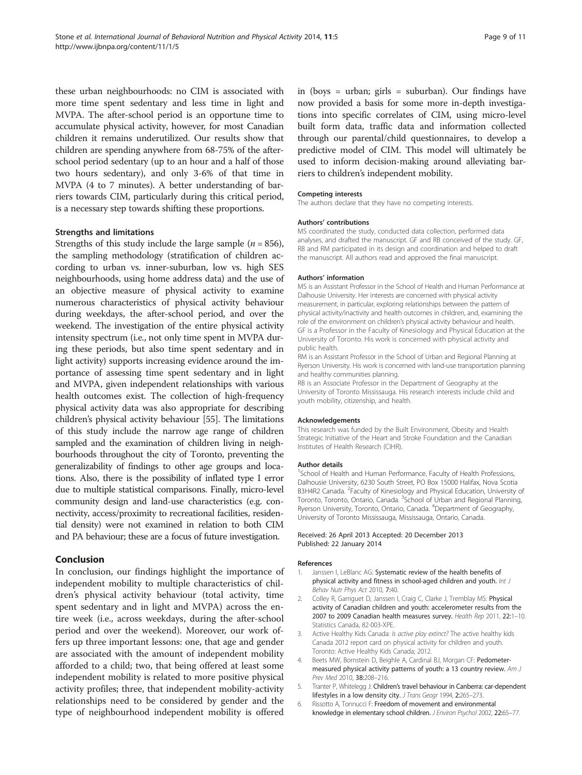<span id="page-8-0"></span>these urban neighbourhoods: no CIM is associated with more time spent sedentary and less time in light and MVPA. The after-school period is an opportune time to accumulate physical activity, however, for most Canadian children it remains underutilized. Our results show that children are spending anywhere from 68-75% of the afterschool period sedentary (up to an hour and a half of those two hours sedentary), and only 3-6% of that time in MVPA (4 to 7 minutes). A better understanding of barriers towards CIM, particularly during this critical period, is a necessary step towards shifting these proportions.

## Strengths and limitations

Strengths of this study include the large sample ( $n = 856$ ), the sampling methodology (stratification of children according to urban vs. inner-suburban, low vs. high SES neighbourhoods, using home address data) and the use of an objective measure of physical activity to examine numerous characteristics of physical activity behaviour during weekdays, the after-school period, and over the weekend. The investigation of the entire physical activity intensity spectrum (i.e., not only time spent in MVPA during these periods, but also time spent sedentary and in light activity) supports increasing evidence around the importance of assessing time spent sedentary and in light and MVPA, given independent relationships with various health outcomes exist. The collection of high-frequency physical activity data was also appropriate for describing children's physical activity behaviour [[55](#page-9-0)]. The limitations of this study include the narrow age range of children sampled and the examination of children living in neighbourhoods throughout the city of Toronto, preventing the generalizability of findings to other age groups and locations. Also, there is the possibility of inflated type I error due to multiple statistical comparisons. Finally, micro-level community design and land-use characteristics (e.g. connectivity, access/proximity to recreational facilities, residential density) were not examined in relation to both CIM and PA behaviour; these are a focus of future investigation.

## Conclusion

In conclusion, our findings highlight the importance of independent mobility to multiple characteristics of children's physical activity behaviour (total activity, time spent sedentary and in light and MVPA) across the entire week (i.e., across weekdays, during the after-school period and over the weekend). Moreover, our work offers up three important lessons: one, that age and gender are associated with the amount of independent mobility afforded to a child; two, that being offered at least some independent mobility is related to more positive physical activity profiles; three, that independent mobility-activity relationships need to be considered by gender and the type of neighbourhood independent mobility is offered in (boys = urban; girls = suburban). Our findings have now provided a basis for some more in-depth investigations into specific correlates of CIM, using micro-level built form data, traffic data and information collected through our parental/child questionnaires, to develop a predictive model of CIM. This model will ultimately be used to inform decision-making around alleviating barriers to children's independent mobility.

#### Competing interests

The authors declare that they have no competing interests.

#### Authors' contributions

MS coordinated the study, conducted data collection, performed data analyses, and drafted the manuscript. GF and RB conceived of the study. GF, RB and RM participated in its design and coordination and helped to draft the manuscript. All authors read and approved the final manuscript.

#### Authors' information

MS is an Assistant Professor in the School of Health and Human Performance at Dalhousie University. Her interests are concerned with physical activity measurement, in particular, exploring relationships between the pattern of physical activity/inactivity and health outcomes in children, and, examining the role of the environment on children's physical activity behaviour and health. GF is a Professor in the Faculty of Kinesiology and Physical Education at the University of Toronto. His work is concerned with physical activity and public health.

RM is an Assistant Professor in the School of Urban and Regional Planning at Ryerson University. His work is concerned with land-use transportation planning and healthy communities planning.

RB is an Associate Professor in the Department of Geography at the University of Toronto Mississauga. His research interests include child and youth mobility, citizenship, and health.

#### Acknowledgements

This research was funded by the Built Environment, Obesity and Health Strategic Initiative of the Heart and Stroke Foundation and the Canadian Institutes of Health Research (CIHR).

#### Author details

<sup>1</sup>School of Health and Human Performance, Faculty of Health Professions, Dalhousie University, 6230 South Street, PO Box 15000 Halifax, Nova Scotia B3H4R2 Canada. <sup>2</sup> Faculty of Kinesiology and Physical Education, University of Toronto, Toronto, Ontario, Canada. <sup>3</sup>School of Urban and Regional Planning Ryerson University, Toronto, Ontario, Canada. <sup>4</sup>Department of Geography University of Toronto Mississauga, Mississauga, Ontario, Canada.

#### Received: 26 April 2013 Accepted: 20 December 2013 Published: 22 January 2014

#### References

- Janssen I, LeBlanc AG: Systematic review of the health benefits of physical activity and fitness in school-aged children and youth. Int J Behav Nutr Phys Act 2010, 7:40.
- 2. Colley R, Garriguet D, Janssen I, Craig C, Clarke J, Tremblay MS: Physical activity of Canadian children and youth: accelerometer results from the 2007 to 2009 Canadian health measures survey. Health Rep 2011, 22:1–10. Statistics Canada, 82-003-XPE.
- Active Healthy Kids Canada: Is active play extinct? The active healthy kids Canada 2012 report card on physical activity for children and youth. Toronto: Active Healthy Kids Canada; 2012.
- 4. Beets MW, Bornstein D, Beighle A, Cardinal BJ, Morgan CF: Pedometermeasured physical activity patterns of youth: a 13 country review. Am J Prev Med 2010, 38:208–216.
- 5. Tranter P, Whitelegg J: Children's travel behaviour in Canberra: car-dependent lifestyles in a low density city. J Trans Geogr 1994, 2:265–273.
- 6. Rissotto A, Tonnucci F: Freedom of movement and environmental knowledge in elementary school children. J Environ Psychol 2002, 22:65–77.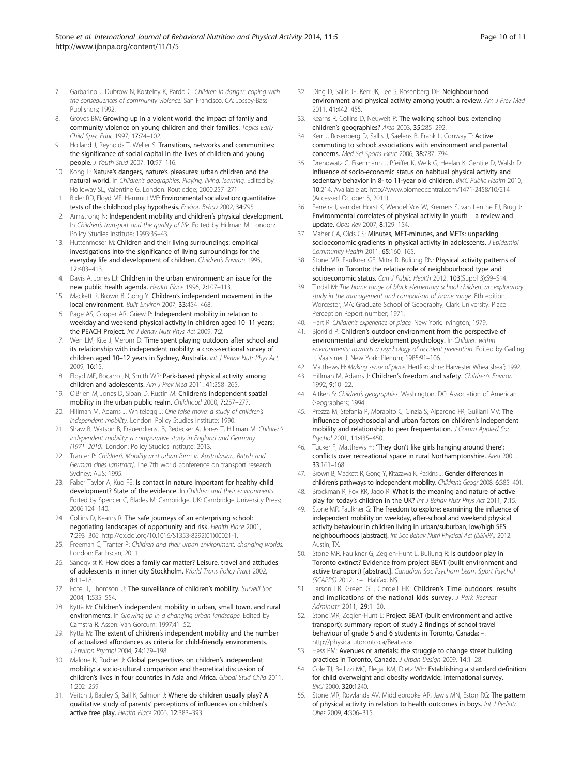- <span id="page-9-0"></span>7. Garbarino J, Dubrow N, Kostelny K, Pardo C: Children in danger: coping with the consequences of community violence. San Francisco, CA: Jossey-Bass Publishers; 1992.
- 8. Groves BM: Growing up in a violent world: the impact of family and community violence on young children and their families. Topics Early Child Spec Educ 1997, 17:74–102.
- 9. Holland J, Reynolds T, Weller S: Transitions, networks and communities: the significance of social capital in the lives of children and young people. J Youth Stud 2007, 10:97–116.
- 10. Kong L: Nature's dangers, nature's pleasures: urban children and the natural world. In Children's geographies. Playing, living, learning. Edited by Holloway SL, Valentine G. London: Routledge; 2000:257–271.
- 11. Bixler RD, Floyd MF, Hammitt WE: Environmental socialization: quantitative tests of the childhood play hypothesis. Environ Behav 2002, 34:795.
- 12. Armstrong N: Independent mobility and children's physical development. In Children's transport and the quality of life. Edited by Hillman M. London: Policy Studies Institute; 1993:35–43.
- 13. Huttenmoser M: Children and their living surroundings: empirical investigations into the significance of living surroundings for the everyday life and development of children. Children's Environ 1995, 12:403–413.
- 14. Davis A, Jones LJ: Children in the urban environment: an issue for the new public health agenda. Health Place 1996, 2:107–113.
- 15. Mackett R, Brown B, Gong Y: Children's independent movement in the local environment. Built Environ 2007, 33:454–468.
- 16. Page AS, Cooper AR, Griew P: Independent mobility in relation to weekday and weekend physical activity in children aged 10–11 years: the PEACH Project. Int J Behav Nutr Phys Act 2009, 7:2.
- 17. Wen LM, Kite J, Merom D: Time spent playing outdoors after school and its relationship with independent mobility: a cross-sectional survey of children aged 10-12 years in Sydney, Australia. Int J Behav Nutr Phys Act 2009, 16:15.
- 18. Floyd MF, Bocarro JN, Smith WR: Park-based physical activity among children and adolescents. Am J Prev Med 2011, 41:258–265.
- 19. O'Brien M, Jones D, Sloan D, Rustin M: Children's independent spatial mobility in the urban public realm. Childhood 2000, 7:257–277.
- 20. Hillman M, Adams J, Whitelegg J: One false move: a study of children's independent mobility. London: Policy Studies Institute; 1990.
- 21. Shaw B, Watson B, Frauendienst B, Redecker A, Jones T, Hillman M: Children's independent mobility: a comparative study in England and Germany (1971–2010). London: Policy Studies Institute; 2013.
- 22. Tranter P: Children's Mobility and urban form in Australasian, British and German cities [abstract], The 7th world conference on transport research. Sydney: AUS; 1995.
- 23. Faber Taylor A, Kuo FE: Is contact in nature important for healthy child development? State of the evidence. In Children and their environments. Edited by Spencer C, Blades M. Cambridge, UK: Cambridge University Press; 2006:124–140.
- 24. Collins D, Kearns R: The safe journeys of an enterprising school: negotiating landscapes of opportunity and risk. Health Place 2001, 7:293–306. [http://dx.doi.org/10.1016/S1353-8292\(01\)00021-1.](http://dx.doi.org/10.1016/S1353-8292(01)00021-1)
- 25. Freeman C, Tranter P: Children and their urban environment: changing worlds. London: Earthscan; 2011.
- 26. Sandqvist K: How does a family car matter? Leisure, travel and attitudes of adolescents in inner city Stockholm. World Trans Policy Pract 2002, 8:11–18.
- 27. Fotel T, Thomson U: The surveillance of children's mobility. Surveill Soc 2004, 1:535–554.
- 28. Kyttä M: Children's independent mobility in urban, small town, and rural environments. In Growing up in a changing urban landscape. Edited by Camstra R. Assen: Van Gorcum; 1997:41–52.
- 29. Kyttä M: The extent of children's independent mobility and the number of actualized affordances as criteria for child-friendly environments. J Environ Psychol 2004, 24:179–198.
- 30. Malone K, Rudner J: Global perspectives on children's independent mobility: a socio-cultural comparison and theoretical discussion of children's lives in four countries in Asia and Africa. Global Stud Child 2011, 1:202–259.
- 31. Veitch J, Bagley S, Ball K, Salmon J: Where do children usually play? A qualitative study of parents' perceptions of influences on children's active free play. Health Place 2006, 12:383–393.
- 32. Ding D, Sallis JF, Kerr JK, Lee S, Rosenberg DE: Neighbourhood environment and physical activity among youth: a review. Am J Prev Med 2011, 41:442–455.
- 33. Kearns R, Collins D, Neuwelt P: The walking school bus: extending children's geographies? Area 2003, 35:285–292.
- 34. Kerr J, Rosenberg D, Sallis J, Saelens B, Frank L, Conway T: Active commuting to school: associations with environment and parental concerns. Med Sci Sports Exerc 2006, 38:787–794.
- 35. Drenowatz C, Eisenmann J, Pfeiffer K, Welk G, Heelan K, Gentile D, Walsh D: Influence of socio-economic status on habitual physical activity and sedentary behavior in 8- to 11-year old children. BMC Public Health 2010, 10:214. Available at:<http://www.biomedcentral.com/1471-2458/10/214> (Accessed October 5, 2011).
- 36. Ferreira I, van der Horst K, Wendel Vos W, Kremers S, van Lenthe FJ, Brug J: Environmental correlates of physical activity in youth – a review and update. Obes Rev 2007, 8:129–154.
- 37. Maher CA, Olds CS: Minutes, MET-minutes, and METs: unpacking socioeconomic gradients in physical activity in adolescents. J Epidemiol Community Health 2011, 65:160–165.
- 38. Stone MR, Faulkner GE, Mitra R, Buliung RN: Physical activity patterns of children in Toronto: the relative role of neighbourhood type and socioeconomic status. Can J Public Health 2012, 103(Suppl 3):S9-S14.
- 39. Tindal M: The home range of black elementary school children: an exploratory study in the management and comparison of home range. 8th edition. Worcester, MA: Graduate School of Geography, Clark University: Place Perception Report number; 1971.
- 40. Hart R: Children's experience of place. New York: Irvington; 1979.
- 41. Bjorklid P: Children's outdoor environment from the perspective of environmental and development psychology. In Children within environments: towards a psychology of accident prevention. Edited by Garling T, Vaalsiner J. New York: Plenum; 1985:91–106.
- 42. Matthews H: Making sense of place. Hertfordshire: Harvester Wheatsheaf; 1992.
- 43. Hillman M, Adams J: Children's freedom and safety. Children's Environ 1992, 9:10–22.
- 44. Aitken S: Children's geographies. Washington, DC: Association of American Geographers; 1994.
- 45. Prezza M, Stefania P, Morabito C, Cinzia S, Alparone FR, Guiliani MV: The influence of psychosocial and urban factors on children's independent mobility and relationship to peer frequentation. J Comm Applied Soc Psychol 2001, 11:435–450.
- 46. Tucker F, Matthews H: 'They don't like girls hanging around there': conflicts over recreational space in rural Northamptonshire. Area 2001, 33:161–168.
- 47. Brown B, Mackett R, Gong Y, Kitazawa K, Paskins J: Gender differences in children's pathways to independent mobility. Children's Geogr 2008, 6:385–401.
- 48. Brockman R, Fox KR, Jago R: What is the meaning and nature of active play for today's children in the UK? Int J Behav Nutr Phys Act 2011, 7:15.
- Stone MR, Faulkner G: The freedom to explore: examining the influence of independent mobility on weekday, after-school and weekend physical activity behaviour in children living in urban/suburban, low/high SES neighbourhoods [abstract]. Int Soc Behav Nutri Physical Act (ISBNPA) 2012. Austin, TX.
- 50. Stone MR, Faulkner G, Zeglen-Hunt L, Buliung R: Is outdoor play in Toronto extinct? Evidence from project BEAT (built environment and active transport) [abstract]. Canadian Soc Psychom Learn Sport Psychol (SCAPPS) 2012, : - . Halifax, NS.
- 51. Larson LR, Green GT, Cordell HK: Children's Time outdoors: results and implications of the national kids survey. J Park Recreat Administr 2011, 29:1–20.
- 52. Stone MR, Zeglen-Hunt L: Project BEAT (built environment and active transport): summary report of study 2 findings of school travel behaviour of grade 5 and 6 students in Toronto, Canada: – . [http://physical.utoronto.ca/Beat.aspx.](http://physical.utoronto.ca/Beat.aspx)
- 53. Hess PM: Avenues or arterials: the struggle to change street building practices in Toronto, Canada. J Urban Design 2009, 14:1–28.
- 54. Cole TJ, Bellizzi MC, Flegal KM, Dietz WH: Establishing a standard definition for child overweight and obesity worldwide: international survey. BMJ 2000, 320:1240.
- 55. Stone MR, Rowlands AV, Middlebrooke AR, Jawis MN, Eston RG: The pattern of physical activity in relation to health outcomes in boys. Int J Pediatr Obes 2009, 4:306–315.